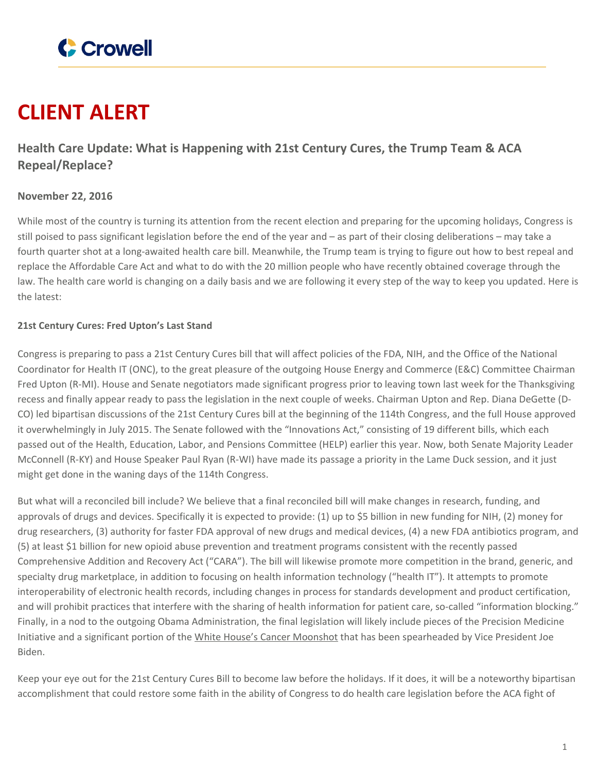

# **CLIENT ALERT**

# **Health Care Update: What is Happening with 21st Century Cures, the Trump Team & ACA Repeal/Replace?**

## **November 22, 2016**

While most of the country is turning its attention from the recent election and preparing for the upcoming holidays, Congress is still poised to pass significant legislation before the end of the year and – as part of their closing deliberations – may take a fourth quarter shot at a long-awaited health care bill. Meanwhile, the Trump team is trying to figure out how to best repeal and replace the Affordable Care Act and what to do with the 20 million people who have recently obtained coverage through the law. The health care world is changing on a daily basis and we are following it every step of the way to keep you updated. Here is the latest:

### **21st Century Cures: Fred Upton's Last Stand**

Congress is preparing to pass a 21st Century Cures bill that will affect policies of the FDA, NIH, and the Office of the National Coordinator for Health IT (ONC), to the great pleasure of the outgoing House Energy and Commerce (E&C) Committee Chairman Fred Upton (R-MI). House and Senate negotiators made significant progress prior to leaving town last week for the Thanksgiving recess and finally appear ready to pass the legislation in the next couple of weeks. Chairman Upton and Rep. Diana DeGette (D-CO) led bipartisan discussions of the 21st Century Cures bill at the beginning of the 114th Congress, and the full House approved it overwhelmingly in July 2015. The Senate followed with the "Innovations Act," consisting of 19 different bills, which each passed out of the Health, Education, Labor, and Pensions Committee (HELP) earlier this year. Now, both Senate Majority Leader McConnell (R-KY) and House Speaker Paul Ryan (R-WI) have made its passage a priority in the Lame Duck session, and it just might get done in the waning days of the 114th Congress.

But what will a reconciled bill include? We believe that a final reconciled bill will make changes in research, funding, and approvals of drugs and devices. Specifically it is expected to provide: (1) up to \$5 billion in new funding for NIH, (2) money for drug researchers, (3) authority for faster FDA approval of new drugs and medical devices, (4) a new FDA antibiotics program, and (5) at least \$1 billion for new opioid abuse prevention and treatment programs consistent with the recently passed Comprehensive Addition and Recovery Act ("CARA"). The bill will likewise promote more competition in the brand, generic, and specialty drug marketplace, in addition to focusing on health information technology ("health IT"). It attempts to promote interoperability of electronic health records, including changes in process for standards development and product certification, and will prohibit practices that interfere with the sharing of health information for patient care, so-called "information blocking." Finally, in a nod to the outgoing Obama Administration, the final legislation will likely include pieces of the Precision Medicine Initiative and a significant portion of the White House's Cancer [Moonshot](https://obamawhitehouse.archives.gov/CancerMoonshot) that has been spearheaded by Vice President Joe Biden.

Keep your eye out for the 21st Century Cures Bill to become law before the holidays. If it does, it will be a noteworthy bipartisan accomplishment that could restore some faith in the ability of Congress to do health care legislation before the ACA fight of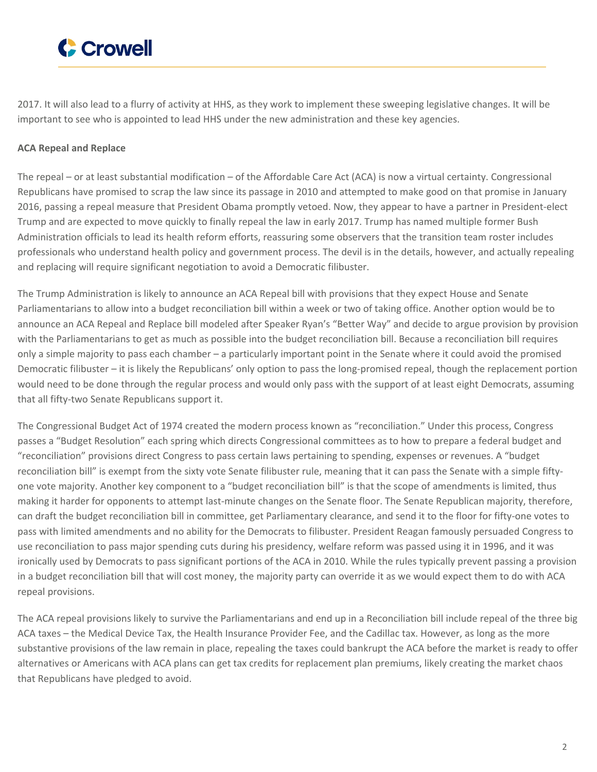

2017. It will also lead to a flurry of activity at HHS, as they work to implement these sweeping legislative changes. It will be important to see who is appointed to lead HHS under the new administration and these key agencies.

### **ACA Repeal and Replace**

The repeal – or at least substantial modification – of the Affordable Care Act (ACA) is now a virtual certainty. Congressional Republicans have promised to scrap the law since its passage in 2010 and attempted to make good on that promise in January 2016, passing a repeal measure that President Obama promptly vetoed. Now, they appear to have a partner in President-elect Trump and are expected to move quickly to finally repeal the law in early 2017. Trump has named multiple former Bush Administration officials to lead its health reform efforts, reassuring some observers that the transition team roster includes professionals who understand health policy and government process. The devil is in the details, however, and actually repealing and replacing will require significant negotiation to avoid a Democratic filibuster.

The Trump Administration is likely to announce an ACA Repeal bill with provisions that they expect House and Senate Parliamentarians to allow into a budget reconciliation bill within a week or two of taking office. Another option would be to announce an ACA Repeal and Replace bill modeled after Speaker Ryan's "Better Way" and decide to argue provision by provision with the Parliamentarians to get as much as possible into the budget reconciliation bill. Because a reconciliation bill requires only a simple majority to pass each chamber – a particularly important point in the Senate where it could avoid the promised Democratic filibuster – it is likely the Republicans' only option to pass the long-promised repeal, though the replacement portion would need to be done through the regular process and would only pass with the support of at least eight Democrats, assuming that all fifty-two Senate Republicans support it.

The Congressional Budget Act of 1974 created the modern process known as "reconciliation." Under this process, Congress passes a "Budget Resolution" each spring which directs Congressional committees as to how to prepare a federal budget and "reconciliation" provisions direct Congress to pass certain laws pertaining to spending, expenses or revenues. A "budget reconciliation bill" is exempt from the sixty vote Senate filibuster rule, meaning that it can pass the Senate with a simple fiftyone vote majority. Another key component to a "budget reconciliation bill" is that the scope of amendments is limited, thus making it harder for opponents to attempt last-minute changes on the Senate floor. The Senate Republican majority, therefore, can draft the budget reconciliation bill in committee, get Parliamentary clearance, and send it to the floor for fifty-one votes to pass with limited amendments and no ability for the Democrats to filibuster. President Reagan famously persuaded Congress to use reconciliation to pass major spending cuts during his presidency, welfare reform was passed using it in 1996, and it was ironically used by Democrats to pass significant portions of the ACA in 2010. While the rules typically prevent passing a provision in a budget reconciliation bill that will cost money, the majority party can override it as we would expect them to do with ACA repeal provisions.

The ACA repeal provisions likely to survive the Parliamentarians and end up in a Reconciliation bill include repeal of the three big ACA taxes – the Medical Device Tax, the Health Insurance Provider Fee, and the Cadillac tax. However, as long as the more substantive provisions of the law remain in place, repealing the taxes could bankrupt the ACA before the market is ready to offer alternatives or Americans with ACA plans can get tax credits for replacement plan premiums, likely creating the market chaos that Republicans have pledged to avoid.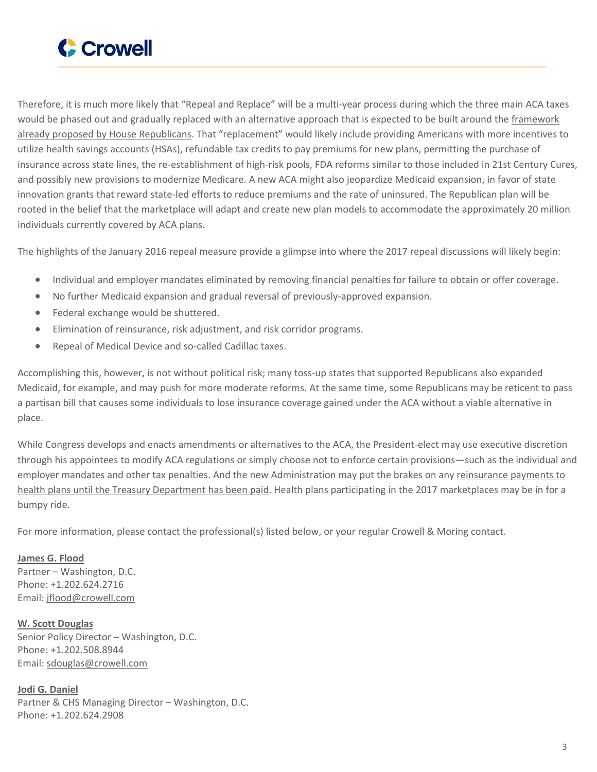

Therefore, it is much more likely that "Repeal and Replace" will be a multi-year process during which the three main ACA taxes would be phased out and gradually replaced with an alternative approach that is expected to be built around the [framework](http://abetterway.speaker.gov/_assets/pdf/ABetterWay-HealthCare-PolicyPaper.pdf) already proposed by House [Republicans](http://abetterway.speaker.gov/_assets/pdf/ABetterWay-HealthCare-PolicyPaper.pdf). That "replacement" would likely include providing Americans with more incentives to utilize health savings accounts (HSAs), refundable tax credits to pay premiums for new plans, permitting the purchase of insurance across state lines, the re-establishment of high-risk pools, FDA reforms similar to those included in 21st Century Cures, and possibly new provisions to modernize Medicare. A new ACA might also jeopardize Medicaid expansion, in favor of state innovation grants that reward state-led efforts to reduce premiums and the rate of uninsured. The Republican plan will be rooted in the belief that the marketplace will adapt and create new plan models to accommodate the approximately 20 million individuals currently covered by ACA plans.

The highlights of the January 2016 repeal measure provide a glimpse into where the 2017 repeal discussions will likely begin:

- Individual and employer mandates eliminated by removing financial penalties for failure to obtain or offer coverage.
- No further Medicaid expansion and gradual reversal of previously-approved expansion.
- Federal exchange would be shuttered.
- Elimination of reinsurance, risk adjustment, and risk corridor programs.
- Repeal of Medical Device and so-called Cadillac taxes.

Accomplishing this, however, is not without political risk; many toss-up states that supported Republicans also expanded Medicaid, for example, and may push for more moderate reforms. At the same time, some Republicans may be reticent to pass a partisan bill that causes some individuals to lose insurance coverage gained under the ACA without a viable alternative in place.

While Congress develops and enacts amendments or alternatives to the ACA, the President-elect may use executive discretion through his appointees to modify ACA regulations or simply choose not to enforce certain provisions—such as the individual and employer mandates and other tax penalties. And the new Administration may put the brakes on any [reinsurance](http://www.gao.gov/assets/690/680115.pdf) payments to health plans until the Treasury [Department](http://www.gao.gov/assets/690/680115.pdf) has been paid. Health plans participating in the 2017 marketplaces may be in for a bumpy ride.

For more information, please contact the professional(s) listed below, or your regular Crowell & Moring contact.

**[James](https://www.crowell.com/professionals/James-G-Flood) G. Flood** Partner – Washington, D.C. Phone: +1.202.624.2716 Email: [jflood@crowell.com](mailto:jflood@crowell.com)

**W. Scott [Douglas](https://www.crowell.com/professionals/W-Scott-Douglas)** Senior Policy Director – Washington, D.C. Phone: +1.202.508.8944 Email: [sdouglas@crowell.com](mailto:sdouglas@crowell.com)

**Jodi G. [Daniel](https://www.crowell.com/professionals/Jodi-Daniel)** Partner & CHS Managing Director – Washington, D.C. Phone: +1.202.624.2908